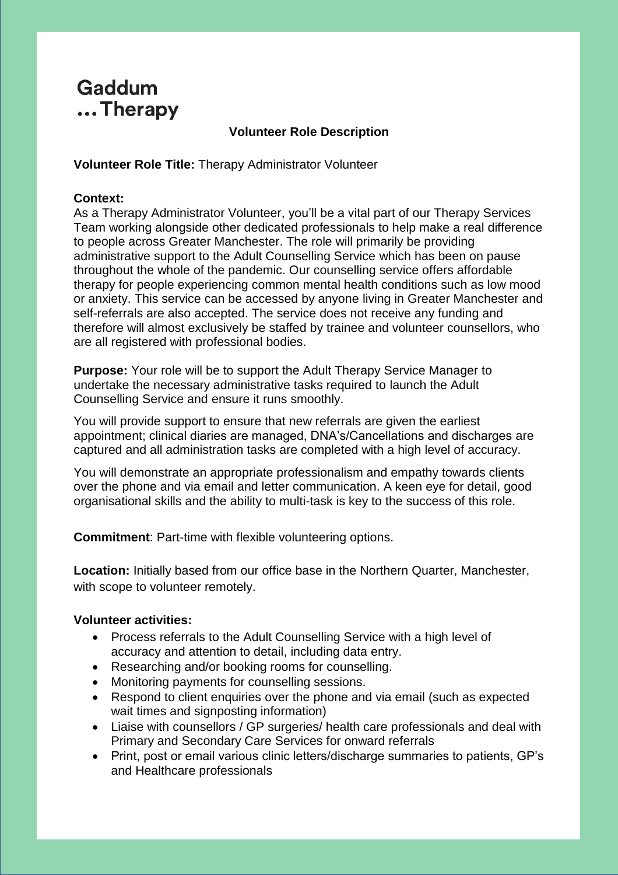# **Gaddum** ...Therapy

## **Volunteer Role Description**

**Volunteer Role Title:** Therapy Administrator Volunteer

## **Context:**

As a Therapy Administrator Volunteer, you'll be a vital part of our Therapy Services Team working alongside other dedicated professionals to help make a real difference to people across Greater Manchester. The role will primarily be providing administrative support to the Adult Counselling Service which has been on pause throughout the whole of the pandemic. Our counselling service offers affordable therapy for people experiencing common mental health conditions such as low mood or anxiety. This service can be accessed by anyone living in Greater Manchester and self-referrals are also accepted. The service does not receive any funding and therefore will almost exclusively be staffed by trainee and volunteer counsellors, who are all registered with professional bodies.

**Purpose:** Your role will be to support the Adult Therapy Service Manager to undertake the necessary administrative tasks required to launch the Adult Counselling Service and ensure it runs smoothly.

You will provide support to ensure that new referrals are given the earliest appointment; clinical diaries are managed, DNA's/Cancellations and discharges are captured and all administration tasks are completed with a high level of accuracy.

You will demonstrate an appropriate professionalism and empathy towards clients over the phone and via email and letter communication. A keen eye for detail, good organisational skills and the ability to multi-task is key to the success of this role.

**Commitment**: Part-time with flexible volunteering options.

**Location:** Initially based from our office base in the Northern Quarter, Manchester, with scope to volunteer remotely.

#### **Volunteer activities:**

- Process referrals to the Adult Counselling Service with a high level of accuracy and attention to detail, including data entry.
- Researching and/or booking rooms for counselling.
- Monitoring payments for counselling sessions.
- Respond to client enquiries over the phone and via email (such as expected wait times and signposting information)
- Liaise with counsellors / GP surgeries/ health care professionals and deal with Primary and Secondary Care Services for onward referrals
- Print, post or email various clinic letters/discharge summaries to patients, GP's and Healthcare professionals